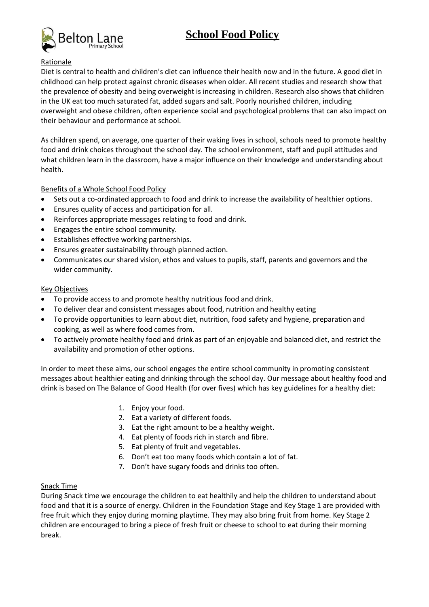# **School Food Policy**



## Rationale

Diet is central to health and children's diet can influence their health now and in the future. A good diet in childhood can help protect against chronic diseases when older. All recent studies and research show that the prevalence of obesity and being overweight is increasing in children. Research also shows that children in the UK eat too much saturated fat, added sugars and salt. Poorly nourished children, including overweight and obese children, often experience social and psychological problems that can also impact on their behaviour and performance at school.

As children spend, on average, one quarter of their waking lives in school, schools need to promote healthy food and drink choices throughout the school day. The school environment, staff and pupil attitudes and what children learn in the classroom, have a major influence on their knowledge and understanding about health.

Benefits of a Whole School Food Policy

- Sets out a co-ordinated approach to food and drink to increase the availability of healthier options.
- Ensures quality of access and participation for all.
- Reinforces appropriate messages relating to food and drink.
- Engages the entire school community.
- Establishes effective working partnerships.
- Ensures greater sustainability through planned action.
- Communicates our shared vision, ethos and values to pupils, staff, parents and governors and the wider community.

## Key Objectives

- To provide access to and promote healthy nutritious food and drink.
- To deliver clear and consistent messages about food, nutrition and healthy eating
- To provide opportunities to learn about diet, nutrition, food safety and hygiene, preparation and cooking, as well as where food comes from.
- To actively promote healthy food and drink as part of an enjoyable and balanced diet, and restrict the availability and promotion of other options.

In order to meet these aims, our school engages the entire school community in promoting consistent messages about healthier eating and drinking through the school day. Our message about healthy food and drink is based on The Balance of Good Health (for over fives) which has key guidelines for a healthy diet:

- 1. Enjoy your food.
- 2. Eat a variety of different foods.
- 3. Eat the right amount to be a healthy weight.
- 4. Eat plenty of foods rich in starch and fibre.
- 5. Eat plenty of fruit and vegetables.
- 6. Don't eat too many foods which contain a lot of fat.
- 7. Don't have sugary foods and drinks too often.

# Snack Time

During Snack time we encourage the children to eat healthily and help the children to understand about food and that it is a source of energy. Children in the Foundation Stage and Key Stage 1 are provided with free fruit which they enjoy during morning playtime. They may also bring fruit from home. Key Stage 2 children are encouraged to bring a piece of fresh fruit or cheese to school to eat during their morning break.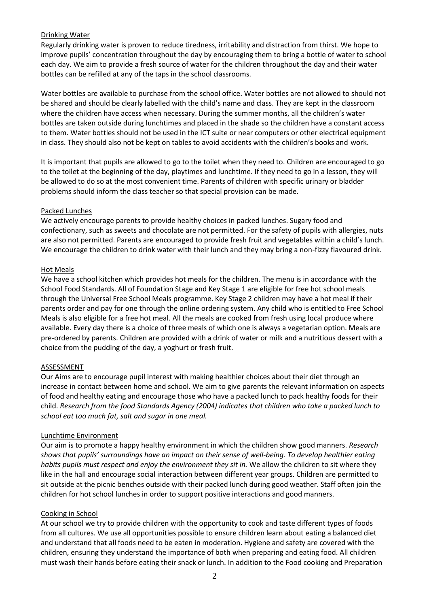## Drinking Water

Regularly drinking water is proven to reduce tiredness, irritability and distraction from thirst. We hope to improve pupils' concentration throughout the day by encouraging them to bring a bottle of water to school each day. We aim to provide a fresh source of water for the children throughout the day and their water bottles can be refilled at any of the taps in the school classrooms.

Water bottles are available to purchase from the school office. Water bottles are not allowed to should not be shared and should be clearly labelled with the child's name and class. They are kept in the classroom where the children have access when necessary. During the summer months, all the children's water bottles are taken outside during lunchtimes and placed in the shade so the children have a constant access to them. Water bottles should not be used in the ICT suite or near computers or other electrical equipment in class. They should also not be kept on tables to avoid accidents with the children's books and work.

It is important that pupils are allowed to go to the toilet when they need to. Children are encouraged to go to the toilet at the beginning of the day, playtimes and lunchtime. If they need to go in a lesson, they will be allowed to do so at the most convenient time. Parents of children with specific urinary or bladder problems should inform the class teacher so that special provision can be made.

## Packed Lunches

We actively encourage parents to provide healthy choices in packed lunches. Sugary food and confectionary, such as sweets and chocolate are not permitted. For the safety of pupils with allergies, nuts are also not permitted. Parents are encouraged to provide fresh fruit and vegetables within a child's lunch. We encourage the children to drink water with their lunch and they may bring a non-fizzy flavoured drink.

## Hot Meals

We have a school kitchen which provides hot meals for the children. The menu is in accordance with the School Food Standards. All of Foundation Stage and Key Stage 1 are eligible for free hot school meals through the Universal Free School Meals programme. Key Stage 2 children may have a hot meal if their parents order and pay for one through the online ordering system. Any child who is entitled to Free School Meals is also eligible for a free hot meal. All the meals are cooked from fresh using local produce where available. Every day there is a choice of three meals of which one is always a vegetarian option. Meals are pre-ordered by parents. Children are provided with a drink of water or milk and a nutritious dessert with a choice from the pudding of the day, a yoghurt or fresh fruit.

# ASSESSMENT

Our Aims are to encourage pupil interest with making healthier choices about their diet through an increase in contact between home and school. We aim to give parents the relevant information on aspects of food and healthy eating and encourage those who have a packed lunch to pack healthy foods for their child. *Research from the food Standards Agency (2004) indicates that children who take a packed lunch to school eat too much fat, salt and sugar in one meal.*

#### Lunchtime Environment

Our aim is to promote a happy healthy environment in which the children show good manners. *Research shows that pupils' surroundings have an impact on their sense of well-being. To develop healthier eating habits pupils must respect and enjoy the environment they sit in.* We allow the children to sit where they like in the hall and encourage social interaction between different year groups. Children are permitted to sit outside at the picnic benches outside with their packed lunch during good weather. Staff often join the children for hot school lunches in order to support positive interactions and good manners.

# Cooking in School

At our school we try to provide children with the opportunity to cook and taste different types of foods from all cultures. We use all opportunities possible to ensure children learn about eating a balanced diet and understand that all foods need to be eaten in moderation. Hygiene and safety are covered with the children, ensuring they understand the importance of both when preparing and eating food. All children must wash their hands before eating their snack or lunch. In addition to the Food cooking and Preparation